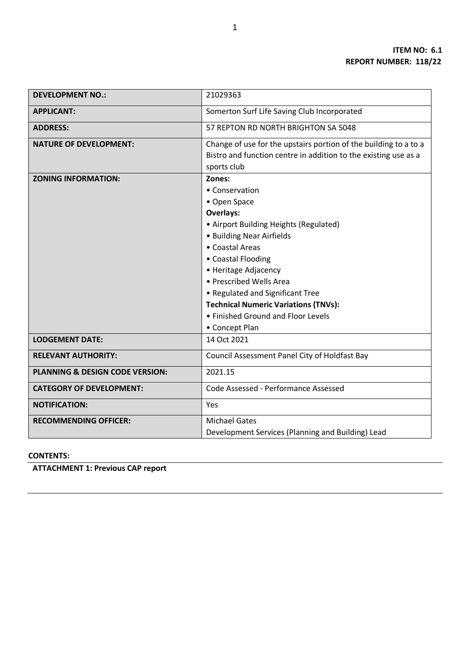| <b>DEVELOPMENT NO.:</b>         | 21029363                                                         |  |  |  |
|---------------------------------|------------------------------------------------------------------|--|--|--|
| <b>APPLICANT:</b>               | Somerton Surf Life Saving Club Incorporated                      |  |  |  |
|                                 |                                                                  |  |  |  |
| <b>ADDRESS:</b>                 | 57 REPTON RD NORTH BRIGHTON SA 5048                              |  |  |  |
| <b>NATURE OF DEVELOPMENT:</b>   | Change of use for the upstairs portion of the building to a to a |  |  |  |
|                                 | Bistro and function centre in addition to the existing use as a  |  |  |  |
|                                 | sports club                                                      |  |  |  |
| <b>ZONING INFORMATION:</b>      | Zones:                                                           |  |  |  |
|                                 | • Conservation                                                   |  |  |  |
|                                 | • Open Space                                                     |  |  |  |
|                                 | Overlays:                                                        |  |  |  |
|                                 | • Airport Building Heights (Regulated)                           |  |  |  |
|                                 | • Building Near Airfields                                        |  |  |  |
|                                 | • Coastal Areas                                                  |  |  |  |
|                                 | • Coastal Flooding                                               |  |  |  |
|                                 | • Heritage Adjacency                                             |  |  |  |
|                                 | • Prescribed Wells Area                                          |  |  |  |
|                                 | • Regulated and Significant Tree                                 |  |  |  |
|                                 | <b>Technical Numeric Variations (TNVs):</b>                      |  |  |  |
|                                 | • Finished Ground and Floor Levels                               |  |  |  |
|                                 | • Concept Plan                                                   |  |  |  |
| <b>LODGEMENT DATE:</b>          | 14 Oct 2021                                                      |  |  |  |
| <b>RELEVANT AUTHORITY:</b>      | Council Assessment Panel City of Holdfast Bay                    |  |  |  |
| PLANNING & DESIGN CODE VERSION: | 2021.15                                                          |  |  |  |
| <b>CATEGORY OF DEVELOPMENT:</b> | Code Assessed - Performance Assessed                             |  |  |  |
| <b>NOTIFICATION:</b>            | Yes                                                              |  |  |  |
| <b>RECOMMENDING OFFICER:</b>    | <b>Michael Gates</b>                                             |  |  |  |
|                                 | Development Services (Planning and Building) Lead                |  |  |  |

# **CONTENTS:**

**ATTACHMENT 1: Previous CAP report**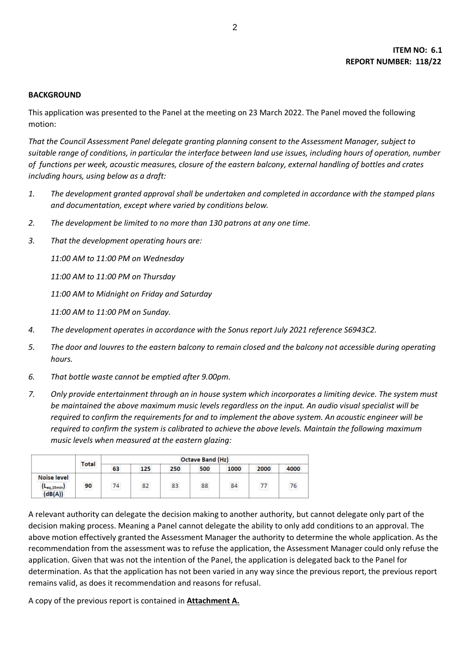### **BACKGROUND**

This application was presented to the Panel at the meeting on 23 March 2022. The Panel moved the following motion:

*That the Council Assessment Panel delegate granting planning consent to the Assessment Manager, subject to suitable range of conditions, in particular the interface between land use issues, including hours of operation, number of functions per week, acoustic measures, closure of the eastern balcony, external handling of bottles and crates including hours, using below as a draft:* 

- *1. The development granted approval shall be undertaken and completed in accordance with the stamped plans and documentation, except where varied by conditions below.*
- *2. The development be limited to no more than 130 patrons at any one time.*
- *3. That the development operating hours are:*

*11:00 AM to 11:00 PM on Wednesday* 

*11:00 AM to 11:00 PM on Thursday* 

*11:00 AM to Midnight on Friday and Saturday* 

*11:00 AM to 11:00 PM on Sunday.* 

- *4. The development operates in accordance with the Sonus report July 2021 reference S6943C2.*
- *5. The door and louvres to the eastern balcony to remain closed and the balcony not accessible during operating hours.*
- *6. That bottle waste cannot be emptied after 9.00pm.*
- *7. Only provide entertainment through an in house system which incorporates a limiting device. The system must be maintained the above maximum music levels regardless on the input. An audio visual specialist will be required to confirm the requirements for and to implement the above system. An acoustic engineer will be required to confirm the system is calibrated to achieve the above levels. Maintain the following maximum music levels when measured at the eastern glazing:*

|                        | Total<br>   | <br><b>Octave Band (Hz)</b> |        |                  |                    |        |      |                        |  |
|------------------------|-------------|-----------------------------|--------|------------------|--------------------|--------|------|------------------------|--|
|                        |             | 63                          | 125    | ---------<br>250 | -----------<br>500 | 1000   | 2000 | --------------<br>4000 |  |
| <br><b>Noise level</b> | <br>90<br>. |                             |        |                  |                    |        |      |                        |  |
| $-eq,15min$<br>(dB(A)) |             | 74<br>                      | 82<br> | 83<br>           | <br>88             | <br>84 | .    | .                      |  |

A relevant authority can delegate the decision making to another authority, but cannot delegate only part of the decision making process. Meaning a Panel cannot delegate the ability to only add conditions to an approval. The above motion effectively granted the Assessment Manager the authority to determine the whole application. As the recommendation from the assessment was to refuse the application, the Assessment Manager could only refuse the application. Given that was not the intention of the Panel, the application is delegated back to the Panel for determination. As that the application has not been varied in any way since the previous report, the previous report remains valid, as does it recommendation and reasons for refusal.

A copy of the previous report is contained in **Attachment A.**